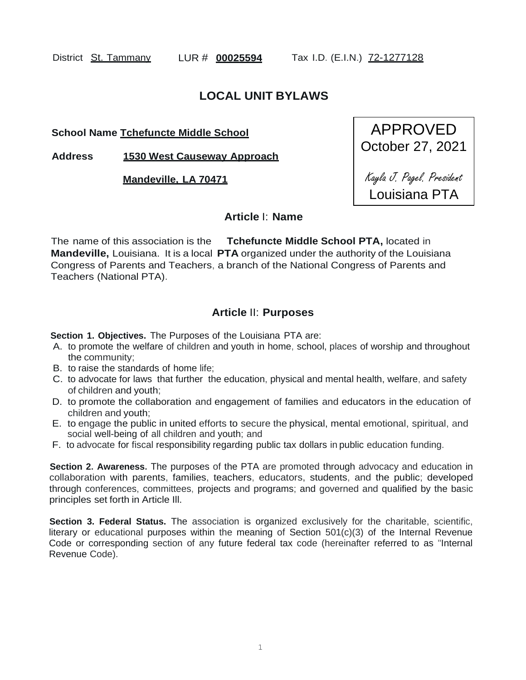District St. Tammany LUR # **00025594** Tax I.D. (E.I.N.) 72-1277128

# **LOCAL UNIT BYLAWS**

**School Name Tchefuncte Middle School**

**Address 1530 West Causeway Approach**

**Mandeville, LA 70471**



## **Article** I: **Name**

The name of this association is the **Tchefuncte Middle School PTA,** located in **Mandeville,** Louisiana. It is a local **PTA** organized under the authority of the Louisiana Congress of Parents and Teachers, a branch of the National Congress of Parents and Teachers (National PTA).

# **Article** II: **Purposes**

**Section 1. Objectives.** The Purposes of the Louisiana PTA are:

- A. to promote the welfare of children and youth in home, school, places of worship and throughout the community;
- B. to raise the standards of home life;
- C. to advocate for laws that further the education, physical and mental health, welfare, and safety of children and youth;
- D. to promote the collaboration and engagement of families and educators in the education of children and youth;
- E. to engage the public in united efforts to secure the physical, mental emotional, spiritual, and social well-being of all children and youth; and
- F. to advocate for fiscal responsibility regarding public tax dollars in public education funding.

**Section 2. Awareness.** The purposes of the PTA are promoted through advocacy and education in collaboration with parents, families, teachers, educators, students, and the public; developed through conferences, committees, projects and programs; and governed and qualified by the basic principles set forth in Article Ill.

**Section 3. Federal Status.** The association is organized exclusively for the charitable, scientific, literary or educational purposes within the meaning of Section 501(c)(3) of the Internal Revenue Code or corresponding section of any future federal tax code (hereinafter referred to as "Internal Revenue Code).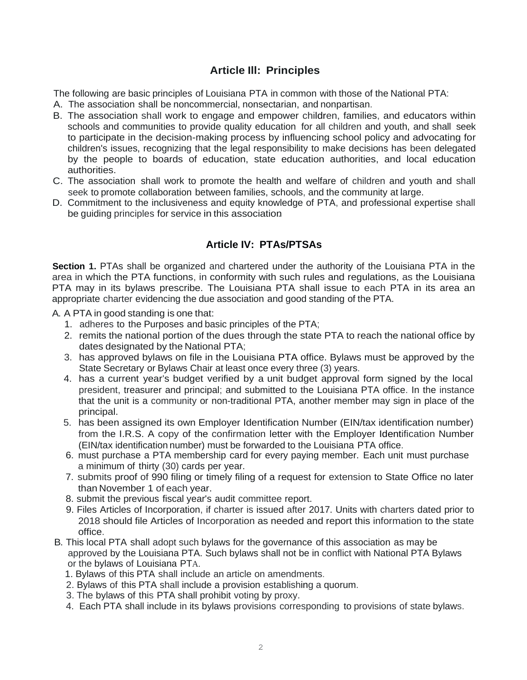# **Article Ill: Principles**

The following are basic principles of Louisiana PTA in common with those of the National PTA:

- A. The association shall be noncommercial, nonsectarian, and nonpartisan.
- B. The association shall work to engage and empower children, families, and educators within schools and communities to provide quality education for all children and youth, and shall seek to participate in the decision-making process by influencing school policy and advocating for children's issues, recognizing that the legal responsibility to make decisions has been delegated by the people to boards of education, state education authorities, and local education authorities.
- C. The association shall work to promote the health and welfare of children and youth and shall seek to promote collaboration between families, schools, and the community at large.
- D. Commitment to the inclusiveness and equity knowledge of PTA, and professional expertise shall be guiding principles for service in this association.

# **Article IV: PTAs/PTSAs**

**Section 1.** PTAs shall be organized and chartered under the authority of the Louisiana PTA in the area in which the PTA functions, in conformity with such rules and regulations, as the Louisiana PTA may in its bylaws prescribe. The Louisiana PTA shall issue to each PTA in its area an appropriate charter evidencing the due association and good standing of the PTA.

A. A PTA in good standing is one that:

- 1. adheres to the Purposes and basic principles of the PTA;
- 2. remits the national portion of the dues through the state PTA to reach the national office by dates designated by the National PTA:
- 3. has approved bylaws on file in the Louisiana PTA office. Bylaws must be approved by the State Secretary or Bylaws Chair at least once every three (3) years.
- 4. has a current year's budget verified by a unit budget approval form signed by the local president, treasurer and principal; and submitted to the Louisiana PTA office. In the instance that the unit is a community or non-traditional PTA, another member may sign in place of the principal.
- 5. has been assigned its own Employer Identification Number (EIN/tax identification number) from the I.R.S. A copy of the confirmation letter with the Employer Identification Number (EIN/tax identification number) must be forwarded to the Louisiana PTA office.
- 6. must purchase a PTA membership card for every paying member. Each unit must purchase a minimum of thirty (30) cards per year.
- 7. submits proof of 990 filing or timely filing of a request for extension to State Office no later than November 1 of each year.
- 8. submit the previous fiscal year's audit committee report.
- 9. Files Articles of Incorporation, if charter is issued after 2017. Units with charters dated prior to 2018 should file Articles of Incorporation as needed and report this information to the state office.
- B. This local PTA shall adopt such bylaws for the governance of this association as may be approved by the Louisiana PTA. Such bylaws shall not be in conflict with National PTA Bylaws or the bylaws of Louisiana PTA.
	- 1. Bylaws of this PTA shall include an article on amendments.
	- 2. Bylaws of this PTA shall include a provision establishing a quorum.
	- 3. The bylaws of this PTA shall prohibit voting by proxy.
	- 4. Each PTA shall include in its bylaws provisions corresponding to provisions of state bylaws.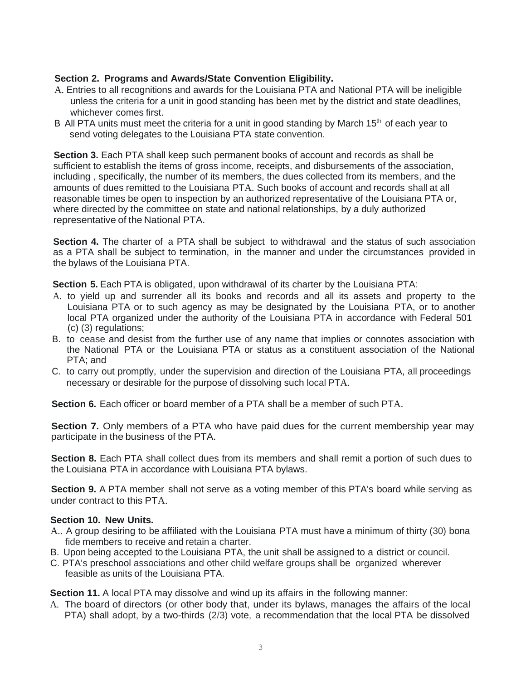## **Section 2. Programs and Awards/State Convention Eligibility.**

- A. Entries to all recognitions and awards for the Louisiana PTA and National PTA will be ineligible unless the criteria for a unit in good standing has been met by the district and state deadlines, whichever comes first.
- B All PTA units must meet the criteria for a unit in good standing by March  $15<sup>th</sup>$  of each year to send voting delegates to the Louisiana PTA state convention.

**Section 3.** Each PTA shall keep such permanent books of account and records as shall be sufficient to establish the items of gross income, receipts, and disbursements of the association, including , specifically, the number of its members, the dues collected from its members, and the amounts of dues remitted to the Louisiana PTA. Such books of account and records shall at all reasonable times be open to inspection by an authorized representative of the Louisiana PTA or, where directed by the committee on state and national relationships, by a duly authorized representative of the National PTA.

**Section 4.** The charter of a PTA shall be subject to withdrawal and the status of such association as a PTA shall be subject to termination, in the manner and under the circumstances provided in the bylaws of the Louisiana PTA.

**Section 5.** Each PTA is obligated, upon withdrawal of its charter by the Louisiana PTA:

- A. to yield up and surrender all its books and records and all its assets and property to the Louisiana PTA or to such agency as may be designated by the Louisiana PTA, or to another local PTA organized under the authority of the Louisiana PTA in accordance with Federal 501 (c) (3) regulations;
- B. to cease and desist from the further use of any name that implies or connotes association with the National PTA or the Louisiana PTA or status as a constituent association of the National PTA; and
- C. to carry out promptly, under the supervision and direction of the Louisiana PTA, all proceedings necessary or desirable for the purpose of dissolving such local PTA.

**Section 6.** Each officer or board member of a PTA shall be a member of such PTA.

**Section 7.** Only members of a PTA who have paid dues for the current membership year may participate in the business of the PTA.

**Section 8.** Each PTA shall collect dues from its members and shall remit a portion of such dues to the Louisiana PTA in accordance with Louisiana PTA bylaws.

**Section 9.** A PTA member shall not serve as a voting member of this PTA's board while serving as under contract to this PTA.

### **Section 10. New Units.**

- A.. A group desiring to be affiliated with the Louisiana PTA must have a minimum of thirty (30) bona fide members to receive and retain a charter.
- B. Upon being accepted to the Louisiana PTA, the unit shall be assigned to a district or council.
- C. PTA's preschool associations and other child welfare groups shall be organized wherever feasible as units of the Louisiana PTA.

**Section 11.** A local PTA may dissolve and wind up its affairs in the following manner:

A. The board of directors (or other body that, under its bylaws, manages the affairs of the local PTA) shall adopt, by a two-thirds (2/3) vote, a recommendation that the local PTA be dissolved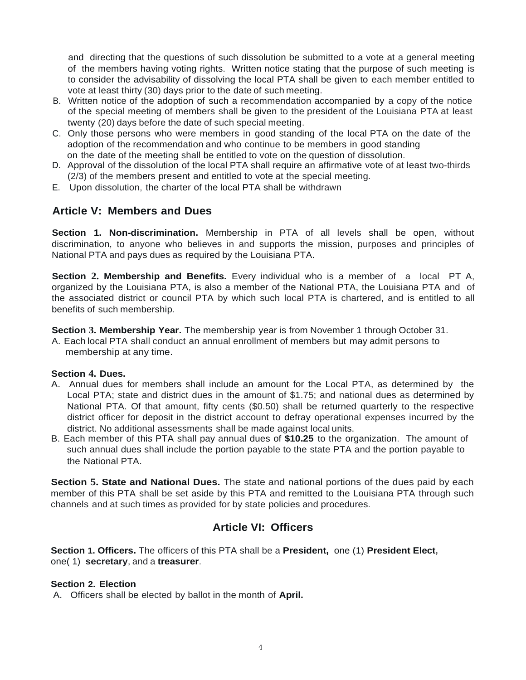and directing that the questions of such dissolution be submitted to a vote at a general meeting of the members having voting rights. Written notice stating that the purpose of such meeting is to consider the advisability of dissolving the local PTA shall be given to each member entitled to vote at least thirty (30) days prior to the date of such meeting.

- B. Written notice of the adoption of such a recommendation accompanied by a copy of the notice of the special meeting of members shall be given to the president of the Louisiana PTA at least twenty (20) days before the date of such special meeting.
- C. Only those persons who were members in good standing of the local PTA on the date of the adoption of the recommendation and who continue to be members in good standing on the date of the meeting shall be entitled to vote on the question of dissolution.
- D. Approval of the dissolution of the local PTA shall require an affirmative vote of at least two-thirds (2/3) of the members present and entitled to vote at the special meeting.
- E. Upon dissolution, the charter of the local PTA shall be withdrawn

# **Article V: Members and Dues**

**Section 1. Non-discrimination.** Membership in PTA of all levels shall be open, without discrimination, to anyone who believes in and supports the mission, purposes and principles of National PTA and pays dues as required by the Louisiana PTA.

**Section 2. Membership and Benefits.** Every individual who is a member of a local PT A, organized by the Louisiana PTA, is also a member of the National PTA, the Louisiana PTA and of the associated district or council PTA by which such local PTA is chartered, and is entitled to all benefits of such membership.

**Section 3. Membership Year.** The membership year is from November 1 through October 31.

A. Each local PTA shall conduct an annual enrollment of members but may admit persons to membership at any time.

#### **Section 4. Dues.**

- A. Annual dues for members shall include an amount for the Local PTA, as determined by the Local PTA; state and district dues in the amount of \$1.75; and national dues as determined by National PTA. Of that amount, fifty cents (\$0.50) shall be returned quarterly to the respective district officer for deposit in the district account to defray operational expenses incurred by the district. No additional assessments shall be made against local units.
- B. Each member of this PTA shall pay annual dues of **\$10.25** to the organization. The amount of such annual dues shall include the portion payable to the state PTA and the portion payable to the National PTA.

**Section 5. State and National Dues.** The state and national portions of the dues paid by each member of this PTA shall be set aside by this PTA and remitted to the Louisiana PTA through such channels and at such times as provided for by state policies and procedures.

# **Article VI: Officers**

**Section 1. Officers.** The officers of this PTA shall be a **President,** one (1) **President Elect,** one( 1) **secretary**, and a **treasurer**.

#### **Section 2. Election**

A. Officers shall be elected by ballot in the month of **April.**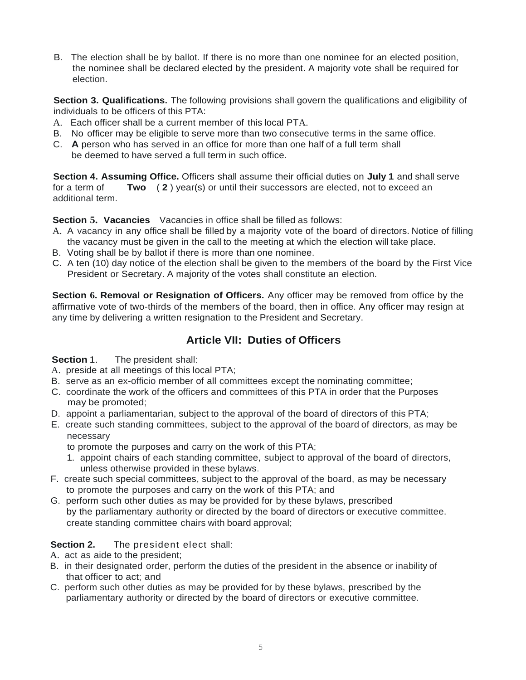B. The election shall be by ballot. If there is no more than one nominee for an elected position, the nominee shall be declared elected by the president. A majority vote shall be required for election.

**Section 3. Qualifications.** The following provisions shall govern the qualifications and eligibility of individuals to be officers of this PTA:

- A. Each officer shall be a current member of this local PTA.
- B. No officer may be eligible to serve more than two consecutive terms in the same office.
- C. **A** person who has served in an office for more than one half of a full term shall be deemed to have served a full term in such office.

**Section 4. Assuming Office.** Officers shall assume their official duties on **July 1** and shall serve for a term of **Two** ( **2** ) year(s) or until their successors are elected, not to exceed an additional term.

**Section 5. Vacancies** Vacancies in office shall be filled as follows:

- A. A vacancy in any office shall be filled by a majority vote of the board of directors. Notice of filling the vacancy must be given in the call to the meeting at which the election will take place.
- B. Voting shall be by ballot if there is more than one nominee.
- C. A ten (10) day notice of the election shall be given to the members of the board by the First Vice President or Secretary. A majority of the votes shall constitute an election.

**Section 6. Removal or Resignation of Officers.** Any officer may be removed from office by the affirmative vote of two-thirds of the members of the board, then in office. Any officer may resign at any time by delivering a written resignation to the President and Secretary.

# **Article VII: Duties of Officers**

**Section 1.** The president shall:

- A. preside at all meetings of this local PTA;
- B. serve as an ex-officio member of all committees except the nominating committee;
- C. coordinate the work of the officers and committees of this PTA in order that the Purposes may be promoted;
- D. appoint a parliamentarian, subject to the approval of the board of directors of this PTA;
- E. create such standing committees, subject to the approval of the board of directors, as may be necessary

to promote the purposes and carry on the work of this PTA;

- 1. appoint chairs of each standing committee, subject to approval of the board of directors, unless otherwise provided in these bylaws.
- F. create such special committees, subject to the approval of the board, as may be necessary to promote the purposes and carry on the work of this PTA; and
- G. perform such other duties as may be provided for by these bylaws, prescribed by the parliamentary authority or directed by the board of directors or executive committee. create standing committee chairs with board approval;

### **Section 2.** The president elect shall:

- A. act as aide to the president;
- B. in their designated order, perform the duties of the president in the absence or inability of that officer to act; and
- C. perform such other duties as may be provided for by these bylaws, prescribed by the parliamentary authority or directed by the board of directors or executive committee.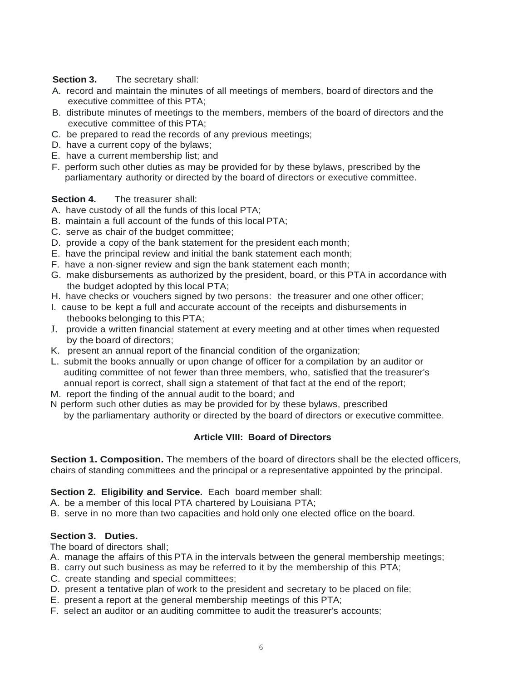### **Section 3.** The secretary shall:

- A. record and maintain the minutes of all meetings of members, board of directors and the executive committee of this PTA;
- B. distribute minutes of meetings to the members, members of the board of directors and the executive committee of this PTA;
- C. be prepared to read the records of any previous meetings;
- D. have a current copy of the bylaws;
- E. have a current membership list; and
- F. perform such other duties as may be provided for by these bylaws, prescribed by the parliamentary authority or directed by the board of directors or executive committee.

### **Section 4.** The treasurer shall:

- A. have custody of all the funds of this local PTA;
- B. maintain a full account of the funds of this local PTA;
- C. serve as chair of the budget committee;
- D. provide a copy of the bank statement for the president each month;
- E. have the principal review and initial the bank statement each month;
- F. have a non-signer review and sign the bank statement each month;
- G. make disbursements as authorized by the president, board, or this PTA in accordance with the budget adopted by this local PTA;
- H. have checks or vouchers signed by two persons: the treasurer and one other officer;
- I. cause to be kept a full and accurate account of the receipts and disbursements in thebooks belonging to this PTA;
- J. provide a written financial statement at every meeting and at other times when requested by the board of directors;
- K. present an annual report of the financial condition of the organization;
- L. submit the books annually or upon change of officer for a compilation by an auditor or auditing committee of not fewer than three members, who, satisfied that the treasurer's annual report is correct, shall sign a statement of that fact at the end of the report;
- M. report the finding of the annual audit to the board; and
- N perform such other duties as may be provided for by these bylaws, prescribed by the parliamentary authority or directed by the board of directors or executive committee.

### **Article VIII: Board of Directors**

**Section 1. Composition.** The members of the board of directors shall be the elected officers, chairs of standing committees and the principal or a representative appointed by the principal.

### **Section 2. Eligibility and Service.** Each board member shall:

A. be a member of this local PTA chartered by Louisiana PTA;

B. serve in no more than two capacities and hold only one elected office on the board.

### **Section 3. Duties.**

The board of directors shall;

- A. manage the affairs of this PTA in the intervals between the general membership meetings;
- B. carry out such business as may be referred to it by the membership of this PTA;
- C. create standing and special committees;
- D. present a tentative plan of work to the president and secretary to be placed on file;
- E. present a report at the general membership meetings of this PTA;
- F. select an auditor or an auditing committee to audit the treasurer's accounts;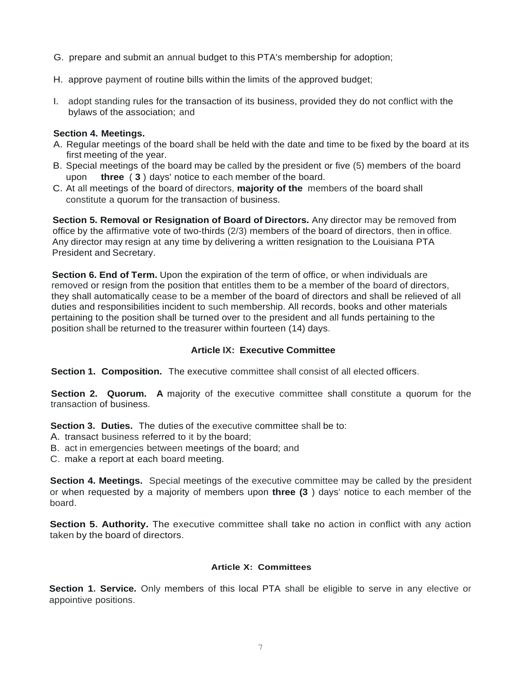- G. prepare and submit an annual budget to this PTA's membership for adoption;
- H. approve payment of routine bills within the limits of the approved budget;
- I. adopt standing rules for the transaction of its business, provided they do not conflict with the bylaws of the association; and

#### **Section 4. Meetings.**

- A. Regular meetings of the board shall be held with the date and time to be fixed by the board at its first meeting of the year.
- B. Special meetings of the board may be called by the president or five (5) members of the board upon **three** ( **3** ) days' notice to each member of the board.
- C. At all meetings of the board of directors, **majority of the** members of the board shall constitute a quorum for the transaction of business.

**Section 5. Removal or Resignation of Board of Directors.** Any director may be removed from office by the affirmative vote of two-thirds (2/3) members of the board of directors, then in office. Any director may resign at any time by delivering a written resignation to the Louisiana PTA President and Secretary.

**Section 6. End of Term.** Upon the expiration of the term of office, or when individuals are removed or resign from the position that entitles them to be a member of the board of directors, they shall automatically cease to be a member of the board of directors and shall be relieved of all duties and responsibilities incident to such membership. All records, books and other materials pertaining to the position shall be turned over to the president and all funds pertaining to the position shall be returned to the treasurer within fourteen (14) days.

#### **Article IX: Executive Committee**

**Section 1. Composition.** The executive committee shall consist of all elected officers.

**Section 2. Quorum. A** majority of the executive committee shall constitute a quorum for the transaction of business.

**Section 3. Duties.** The duties of the executive committee shall be to:

- A. transact business referred to it by the board;
- B. act in emergencies between meetings of the board; and

C. make a report at each board meeting.

**Section 4. Meetings.** Special meetings of the executive committee may be called by the president or when requested by a majority of members upon **three (3** ) days' notice to each member of the board.

**Section 5. Authority.** The executive committee shall take no action in conflict with any action taken by the board of directors.

#### **Article X: Committees**

**Section 1. Service.** Only members of this local PTA shall be eligible to serve in any elective or appointive positions.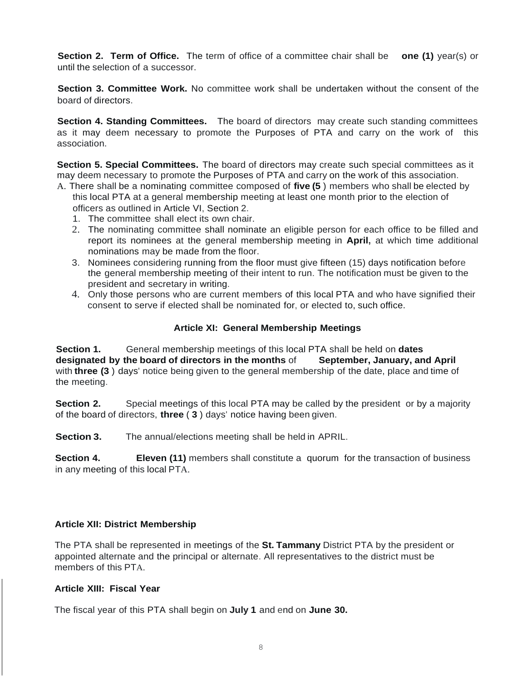**Section 2. Term of Office.** The term of office of a committee chair shall be **one (1)** year(s) or until the selection of a successor.

**Section 3. Committee Work.** No committee work shall be undertaken without the consent of the board of directors.

**Section 4. Standing Committees.** The board of directors may create such standing committees as it may deem necessary to promote the Purposes of PTA and carry on the work of this association.

**Section 5. Special Committees.** The board of directors may create such special committees as it may deem necessary to promote the Purposes of PTA and carry on the work of this association.

- A. There shall be a nominating committee composed of **five (5** ) members who shall be elected by this local PTA at a general membership meeting at least one month prior to the election of officers as outlined in Article VI, Section 2.
	- 1. The committee shall elect its own chair.
	- 2. The nominating committee shall nominate an eligible person for each office to be filled and report its nominees at the general membership meeting in **April,** at which time additional nominations may be made from the floor.
	- 3. Nominees considering running from the floor must give fifteen (15) days notification before the general membership meeting of their intent to run. The notification must be given to the president and secretary in writing.
	- 4. Only those persons who are current members of this local PTA and who have signified their consent to serve if elected shall be nominated for, or elected to, such office.

#### **Article XI: General Membership Meetings**

**Section 1.** General membership meetings of this local PTA shall be held on **dates designated by the board of directors in the months** of **September, January, and April** with **three (3** ) days' notice being given to the general membership of the date, place and time of the meeting.

**Section 2.** Special meetings of this local PTA may be called by the president or by a majority of the board of directors, **three** ( **3** ) days' notice having been given.

**Section 3.** The annual/elections meeting shall be held in APRIL.

**Section 4. Eleven (11)** members shall constitute a quorum for the transaction of business in any meeting of this local PTA.

### **Article XII: District Membership**

The PTA shall be represented in meetings of the **St. Tammany** District PTA by the president or appointed alternate and the principal or alternate. All representatives to the district must be members of this PTA.

### **Article XIII: Fiscal Year**

The fiscal year of this PTA shall begin on **July 1** and end on **June 30.**